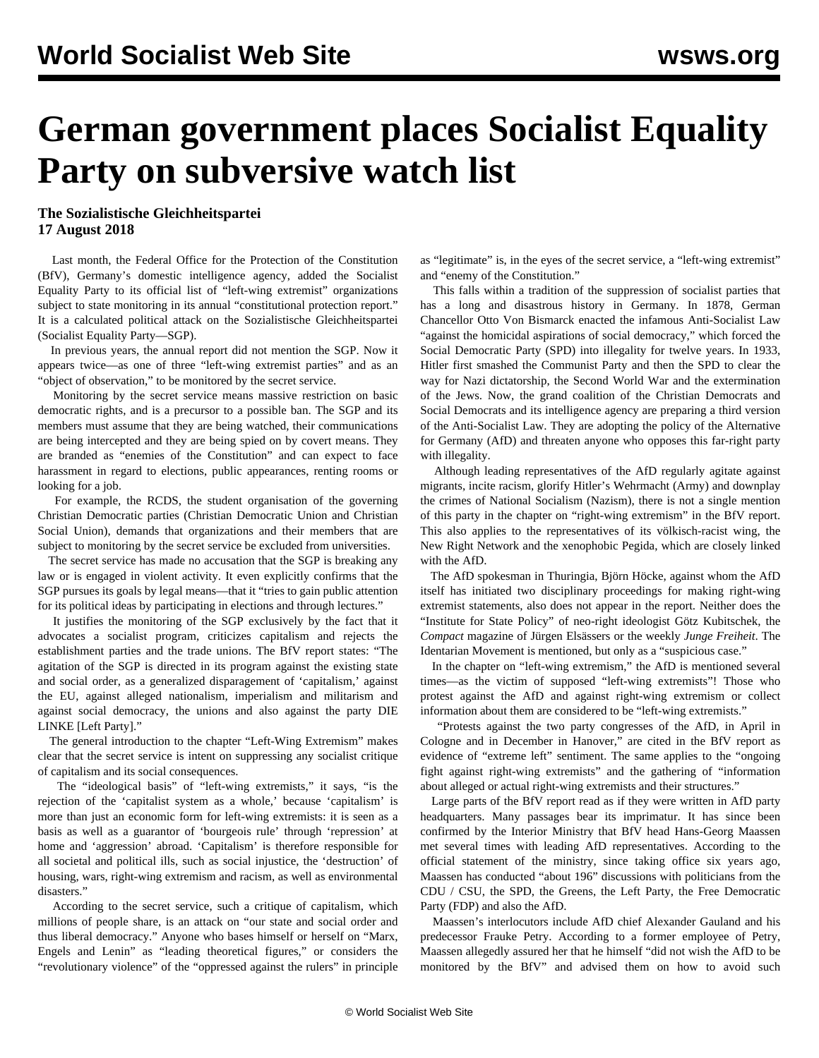# **German government places Socialist Equality Party on subversive watch list**

### **The Sozialistische Gleichheitspartei 17 August 2018**

 Last month, the Federal Office for the Protection of the Constitution (BfV), Germany's domestic intelligence agency, added the Socialist Equality Party to its official list of "left-wing extremist" organizations subject to state monitoring in its annual "constitutional protection report." It is a calculated political attack on the Sozialistische Gleichheitspartei (Socialist Equality Party—SGP).

 In previous years, the annual report did not mention the SGP. Now it appears twice—as one of three "left-wing extremist parties" and as an "object of observation," to be monitored by the secret service.

 Monitoring by the secret service means massive restriction on basic democratic rights, and is a precursor to a possible ban. The SGP and its members must assume that they are being watched, their communications are being intercepted and they are being spied on by covert means. They are branded as "enemies of the Constitution" and can expect to face harassment in regard to elections, public appearances, renting rooms or looking for a job.

 For example, the RCDS, the student organisation of the governing Christian Democratic parties (Christian Democratic Union and Christian Social Union), demands that organizations and their members that are subject to monitoring by the secret service be excluded from universities.

 The secret service has made no accusation that the SGP is breaking any law or is engaged in violent activity. It even explicitly confirms that the SGP pursues its goals by legal means—that it "tries to gain public attention for its political ideas by participating in elections and through lectures."

 It justifies the monitoring of the SGP exclusively by the fact that it advocates a socialist program, criticizes capitalism and rejects the establishment parties and the trade unions. The BfV report states: "The agitation of the SGP is directed in its program against the existing state and social order, as a generalized disparagement of 'capitalism,' against the EU, against alleged nationalism, imperialism and militarism and against social democracy, the unions and also against the party DIE LINKE [Left Party]."

 The general introduction to the chapter "Left-Wing Extremism" makes clear that the secret service is intent on suppressing any socialist critique of capitalism and its social consequences.

 The "ideological basis" of "left-wing extremists," it says, "is the rejection of the 'capitalist system as a whole,' because 'capitalism' is more than just an economic form for left-wing extremists: it is seen as a basis as well as a guarantor of 'bourgeois rule' through 'repression' at home and 'aggression' abroad. 'Capitalism' is therefore responsible for all societal and political ills, such as social injustice, the 'destruction' of housing, wars, right-wing extremism and racism, as well as environmental disasters."

 According to the secret service, such a critique of capitalism, which millions of people share, is an attack on "our state and social order and thus liberal democracy." Anyone who bases himself or herself on "Marx, Engels and Lenin" as "leading theoretical figures," or considers the "revolutionary violence" of the "oppressed against the rulers" in principle as "legitimate" is, in the eyes of the secret service, a "left-wing extremist" and "enemy of the Constitution."

 This falls within a tradition of the suppression of socialist parties that has a long and disastrous history in Germany. In 1878, German Chancellor Otto Von Bismarck enacted the infamous Anti-Socialist Law "against the homicidal aspirations of social democracy," which forced the Social Democratic Party (SPD) into illegality for twelve years. In 1933, Hitler first smashed the Communist Party and then the SPD to clear the way for Nazi dictatorship, the Second World War and the extermination of the Jews. Now, the grand coalition of the Christian Democrats and Social Democrats and its intelligence agency are preparing a third version of the Anti-Socialist Law. They are adopting the policy of the Alternative for Germany (AfD) and threaten anyone who opposes this far-right party with illegality.

 Although leading representatives of the AfD regularly agitate against migrants, incite racism, glorify Hitler's Wehrmacht (Army) and downplay the crimes of National Socialism (Nazism), there is not a single mention of this party in the chapter on "right-wing extremism" in the BfV report. This also applies to the representatives of its völkisch-racist wing, the New Right Network and the xenophobic Pegida, which are closely linked with the AfD.

 The AfD spokesman in Thuringia, Björn Höcke, against whom the AfD itself has initiated two disciplinary proceedings for making right-wing extremist statements, also does not appear in the report. Neither does the "Institute for State Policy" of neo-right ideologist Götz Kubitschek, the *Compact* magazine of Jürgen Elsässers or the weekly *Junge Freiheit*. The Identarian Movement is mentioned, but only as a "suspicious case."

 In the chapter on "left-wing extremism," the AfD is mentioned several times—as the victim of supposed "left-wing extremists"! Those who protest against the AfD and against right-wing extremism or collect information about them are considered to be "left-wing extremists."

 "Protests against the two party congresses of the AfD, in April in Cologne and in December in Hanover," are cited in the BfV report as evidence of "extreme left" sentiment. The same applies to the "ongoing fight against right-wing extremists" and the gathering of "information about alleged or actual right-wing extremists and their structures."

 Large parts of the BfV report read as if they were written in AfD party headquarters. Many passages bear its imprimatur. It has since been confirmed by the Interior Ministry that BfV head Hans-Georg Maassen met several times with leading AfD representatives. According to the official statement of the ministry, since taking office six years ago, Maassen has conducted "about 196" discussions with politicians from the CDU / CSU, the SPD, the Greens, the Left Party, the Free Democratic Party (FDP) and also the AfD.

 Maassen's interlocutors include AfD chief Alexander Gauland and his predecessor Frauke Petry. According to a former employee of Petry, Maassen allegedly assured her that he himself "did not wish the AfD to be monitored by the BfV" and advised them on how to avoid such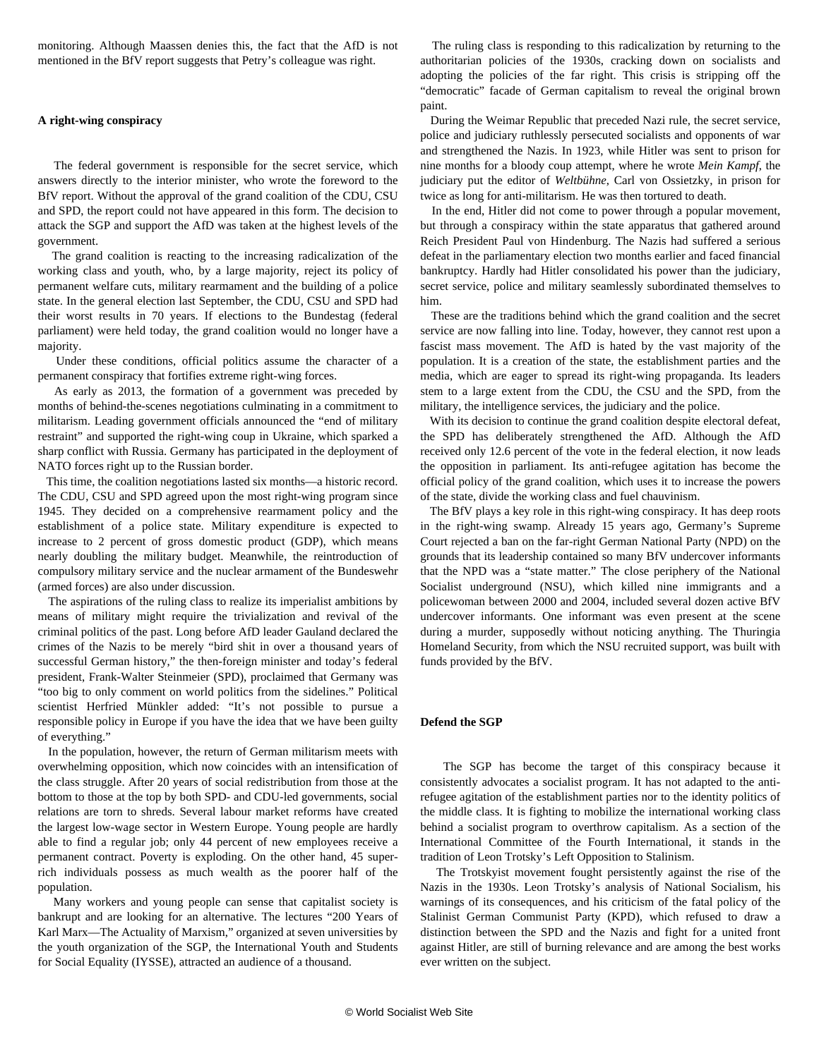monitoring. Although Maassen denies this, the fact that the AfD is not mentioned in the BfV report suggests that Petry's colleague was right.

#### **A right-wing conspiracy**

 The federal government is responsible for the secret service, which answers directly to the interior minister, who wrote the foreword to the BfV report. Without the approval of the grand coalition of the CDU, CSU and SPD, the report could not have appeared in this form. The decision to attack the SGP and support the AfD was taken at the highest levels of the government.

 The grand coalition is reacting to the increasing radicalization of the working class and youth, who, by a large majority, reject its policy of permanent welfare cuts, military rearmament and the building of a police state. In the general election last September, the CDU, CSU and SPD had their worst results in 70 years. If elections to the Bundestag (federal parliament) were held today, the grand coalition would no longer have a majority.

 Under these conditions, official politics assume the character of a permanent conspiracy that fortifies extreme right-wing forces.

 As early as 2013, the formation of a government was preceded by months of behind-the-scenes negotiations culminating in a commitment to militarism. Leading government officials announced the "end of military restraint" and supported the right-wing coup in Ukraine, which sparked a sharp conflict with Russia. Germany has participated in the deployment of NATO forces right up to the Russian border.

 This time, the coalition negotiations lasted six months—a historic record. The CDU, CSU and SPD agreed upon the most right-wing program since 1945. They decided on a comprehensive rearmament policy and the establishment of a police state. Military expenditure is expected to increase to 2 percent of gross domestic product (GDP), which means nearly doubling the military budget. Meanwhile, the reintroduction of compulsory military service and the nuclear armament of the Bundeswehr (armed forces) are also under discussion.

 The aspirations of the ruling class to realize its imperialist ambitions by means of military might require the trivialization and revival of the criminal politics of the past. Long before AfD leader Gauland declared the crimes of the Nazis to be merely "bird shit in over a thousand years of successful German history," the then-foreign minister and today's federal president, Frank-Walter Steinmeier (SPD), proclaimed that Germany was "too big to only comment on world politics from the sidelines." Political scientist Herfried Münkler added: "It's not possible to pursue a responsible policy in Europe if you have the idea that we have been guilty of everything."

 In the population, however, the return of German militarism meets with overwhelming opposition, which now coincides with an intensification of the class struggle. After 20 years of social redistribution from those at the bottom to those at the top by both SPD- and CDU-led governments, social relations are torn to shreds. Several labour market reforms have created the largest low-wage sector in Western Europe. Young people are hardly able to find a regular job; only 44 percent of new employees receive a permanent contract. Poverty is exploding. On the other hand, 45 superrich individuals possess as much wealth as the poorer half of the population.

 Many workers and young people can sense that capitalist society is bankrupt and are looking for an alternative. The lectures "200 Years of Karl Marx—The Actuality of Marxism," organized at seven universities by the youth organization of the SGP, the International Youth and Students for Social Equality (IYSSE), attracted an audience of a thousand.

 The ruling class is responding to this radicalization by returning to the authoritarian policies of the 1930s, cracking down on socialists and adopting the policies of the far right. This crisis is stripping off the "democratic" facade of German capitalism to reveal the original brown paint.

 During the Weimar Republic that preceded Nazi rule, the secret service, police and judiciary ruthlessly persecuted socialists and opponents of war and strengthened the Nazis. In 1923, while Hitler was sent to prison for nine months for a bloody coup attempt, where he wrote *Mein Kampf*, the judiciary put the editor of *Weltbühne*, Carl von Ossietzky, in prison for twice as long for anti-militarism. He was then tortured to death.

 In the end, Hitler did not come to power through a popular movement, but through a conspiracy within the state apparatus that gathered around Reich President Paul von Hindenburg. The Nazis had suffered a serious defeat in the parliamentary election two months earlier and faced financial bankruptcy. Hardly had Hitler consolidated his power than the judiciary, secret service, police and military seamlessly subordinated themselves to him.

 These are the traditions behind which the grand coalition and the secret service are now falling into line. Today, however, they cannot rest upon a fascist mass movement. The AfD is hated by the vast majority of the population. It is a creation of the state, the establishment parties and the media, which are eager to spread its right-wing propaganda. Its leaders stem to a large extent from the CDU, the CSU and the SPD, from the military, the intelligence services, the judiciary and the police.

 With its decision to continue the grand coalition despite electoral defeat, the SPD has deliberately strengthened the AfD. Although the AfD received only 12.6 percent of the vote in the federal election, it now leads the opposition in parliament. Its anti-refugee agitation has become the official policy of the grand coalition, which uses it to increase the powers of the state, divide the working class and fuel chauvinism.

 The BfV plays a key role in this right-wing conspiracy. It has deep roots in the right-wing swamp. Already 15 years ago, Germany's Supreme Court rejected a ban on the far-right German National Party (NPD) on the grounds that its leadership contained so many BfV undercover informants that the NPD was a "state matter." The close periphery of the National Socialist underground (NSU), which killed nine immigrants and a policewoman between 2000 and 2004, included several dozen active BfV undercover informants. One informant was even present at the scene during a murder, supposedly without noticing anything. The Thuringia Homeland Security, from which the NSU recruited support, was built with funds provided by the BfV.

#### **Defend the SGP**

 The SGP has become the target of this conspiracy because it consistently advocates a socialist program. It has not adapted to the antirefugee agitation of the establishment parties nor to the identity politics of the middle class. It is fighting to mobilize the international working class behind a socialist program to overthrow capitalism. As a section of the International Committee of the Fourth International, it stands in the tradition of Leon Trotsky's Left Opposition to Stalinism.

 The Trotskyist movement fought persistently against the rise of the Nazis in the 1930s. Leon Trotsky's analysis of National Socialism, his warnings of its consequences, and his criticism of the fatal policy of the Stalinist German Communist Party (KPD), which refused to draw a distinction between the SPD and the Nazis and fight for a united front against Hitler, are still of burning relevance and are among the best works ever written on the subject.